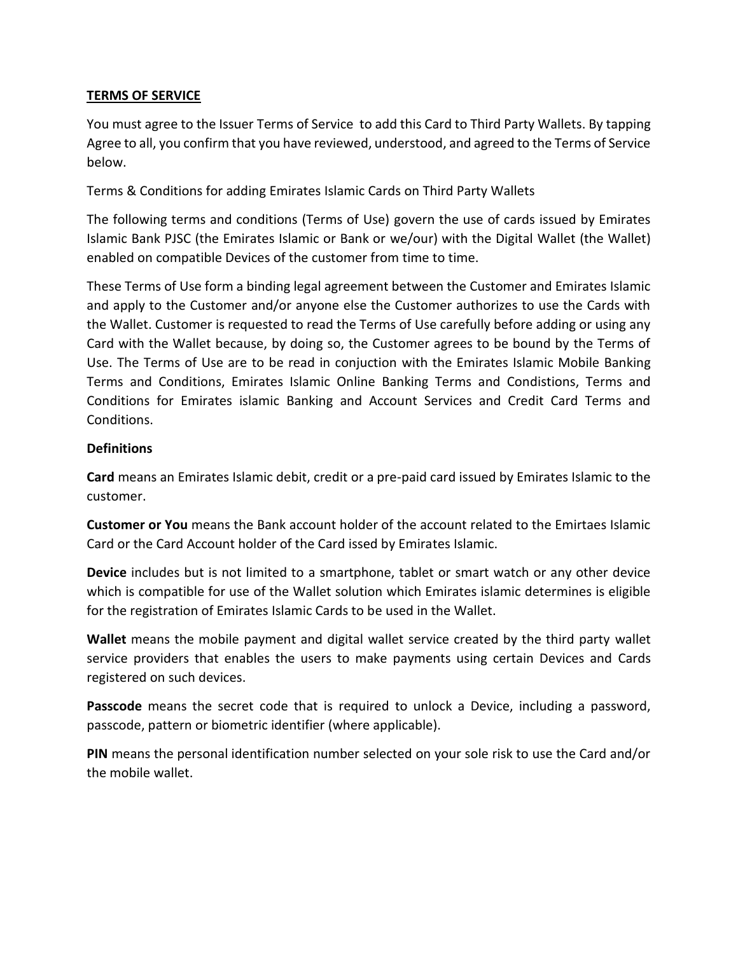### **TERMS OF SERVICE**

You must agree to the Issuer Terms of Service to add this Card to Third Party Wallets. By tapping Agree to all, you confirm that you have reviewed, understood, and agreed to the Terms of Service below.

Terms & Conditions for adding Emirates Islamic Cards on Third Party Wallets

The following terms and conditions (Terms of Use) govern the use of cards issued by Emirates Islamic Bank PJSC (the Emirates Islamic or Bank or we/our) with the Digital Wallet (the Wallet) enabled on compatible Devices of the customer from time to time.

These Terms of Use form a binding legal agreement between the Customer and Emirates Islamic and apply to the Customer and/or anyone else the Customer authorizes to use the Cards with the Wallet. Customer is requested to read the Terms of Use carefully before adding or using any Card with the Wallet because, by doing so, the Customer agrees to be bound by the Terms of Use. The Terms of Use are to be read in conjuction with the Emirates Islamic Mobile Banking Terms and Conditions, Emirates Islamic Online Banking Terms and Condistions, Terms and Conditions for Emirates islamic Banking and Account Services and Credit Card Terms and Conditions.

#### **Definitions**

**Card** means an Emirates Islamic debit, credit or a pre-paid card issued by Emirates Islamic to the customer.

**Customer or You** means the Bank account holder of the account related to the Emirtaes Islamic Card or the Card Account holder of the Card issed by Emirates Islamic.

**Device** includes but is not limited to a smartphone, tablet or smart watch or any other device which is compatible for use of the Wallet solution which Emirates islamic determines is eligible for the registration of Emirates Islamic Cards to be used in the Wallet.

**Wallet** means the mobile payment and digital wallet service created by the third party wallet service providers that enables the users to make payments using certain Devices and Cards registered on such devices.

**Passcode** means the secret code that is required to unlock a Device, including a password, passcode, pattern or biometric identifier (where applicable).

**PIN** means the personal identification number selected on your sole risk to use the Card and/or the mobile wallet.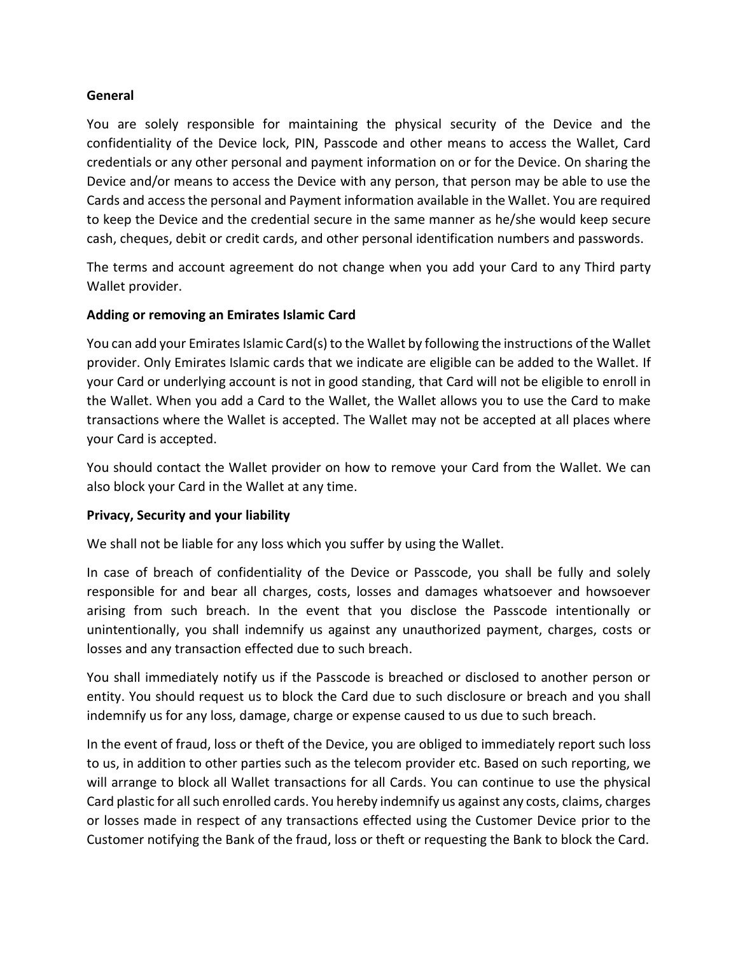#### **General**

You are solely responsible for maintaining the physical security of the Device and the confidentiality of the Device lock, PIN, Passcode and other means to access the Wallet, Card credentials or any other personal and payment information on or for the Device. On sharing the Device and/or means to access the Device with any person, that person may be able to use the Cards and access the personal and Payment information available in the Wallet. You are required to keep the Device and the credential secure in the same manner as he/she would keep secure cash, cheques, debit or credit cards, and other personal identification numbers and passwords.

The terms and account agreement do not change when you add your Card to any Third party Wallet provider.

# **Adding or removing an Emirates Islamic Card**

You can add your Emirates Islamic Card(s) to the Wallet by following the instructions of the Wallet provider. Only Emirates Islamic cards that we indicate are eligible can be added to the Wallet. If your Card or underlying account is not in good standing, that Card will not be eligible to enroll in the Wallet. When you add a Card to the Wallet, the Wallet allows you to use the Card to make transactions where the Wallet is accepted. The Wallet may not be accepted at all places where your Card is accepted.

You should contact the Wallet provider on how to remove your Card from the Wallet. We can also block your Card in the Wallet at any time.

#### **Privacy, Security and your liability**

We shall not be liable for any loss which you suffer by using the Wallet.

In case of breach of confidentiality of the Device or Passcode, you shall be fully and solely responsible for and bear all charges, costs, losses and damages whatsoever and howsoever arising from such breach. In the event that you disclose the Passcode intentionally or unintentionally, you shall indemnify us against any unauthorized payment, charges, costs or losses and any transaction effected due to such breach.

You shall immediately notify us if the Passcode is breached or disclosed to another person or entity. You should request us to block the Card due to such disclosure or breach and you shall indemnify us for any loss, damage, charge or expense caused to us due to such breach.

In the event of fraud, loss or theft of the Device, you are obliged to immediately report such loss to us, in addition to other parties such as the telecom provider etc. Based on such reporting, we will arrange to block all Wallet transactions for all Cards. You can continue to use the physical Card plastic for all such enrolled cards. You hereby indemnify us against any costs, claims, charges or losses made in respect of any transactions effected using the Customer Device prior to the Customer notifying the Bank of the fraud, loss or theft or requesting the Bank to block the Card.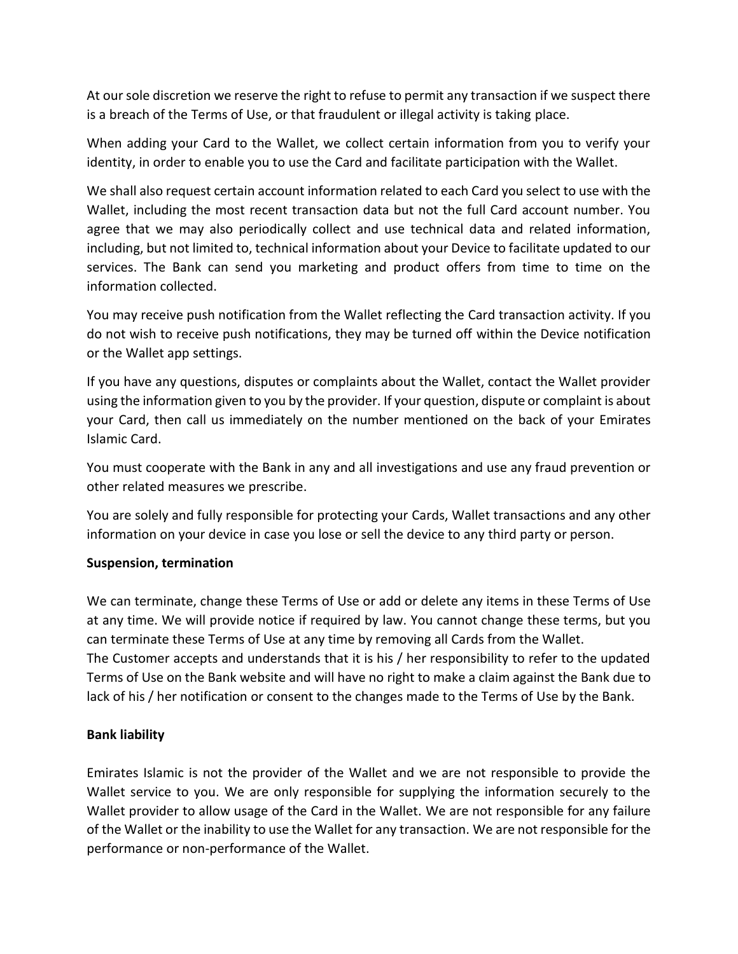At our sole discretion we reserve the right to refuse to permit any transaction if we suspect there is a breach of the Terms of Use, or that fraudulent or illegal activity is taking place.

When adding your Card to the Wallet, we collect certain information from you to verify your identity, in order to enable you to use the Card and facilitate participation with the Wallet.

We shall also request certain account information related to each Card you select to use with the Wallet, including the most recent transaction data but not the full Card account number. You agree that we may also periodically collect and use technical data and related information, including, but not limited to, technical information about your Device to facilitate updated to our services. The Bank can send you marketing and product offers from time to time on the information collected.

You may receive push notification from the Wallet reflecting the Card transaction activity. If you do not wish to receive push notifications, they may be turned off within the Device notification or the Wallet app settings.

If you have any questions, disputes or complaints about the Wallet, contact the Wallet provider using the information given to you by the provider. If your question, dispute or complaint is about your Card, then call us immediately on the number mentioned on the back of your Emirates Islamic Card.

You must cooperate with the Bank in any and all investigations and use any fraud prevention or other related measures we prescribe.

You are solely and fully responsible for protecting your Cards, Wallet transactions and any other information on your device in case you lose or sell the device to any third party or person.

#### **Suspension, termination**

We can terminate, change these Terms of Use or add or delete any items in these Terms of Use at any time. We will provide notice if required by law. You cannot change these terms, but you can terminate these Terms of Use at any time by removing all Cards from the Wallet. The Customer accepts and understands that it is his / her responsibility to refer to the updated Terms of Use on the Bank website and will have no right to make a claim against the Bank due to lack of his / her notification or consent to the changes made to the Terms of Use by the Bank.

# **Bank liability**

Emirates Islamic is not the provider of the Wallet and we are not responsible to provide the Wallet service to you. We are only responsible for supplying the information securely to the Wallet provider to allow usage of the Card in the Wallet. We are not responsible for any failure of the Wallet or the inability to use the Wallet for any transaction. We are not responsible for the performance or non-performance of the Wallet.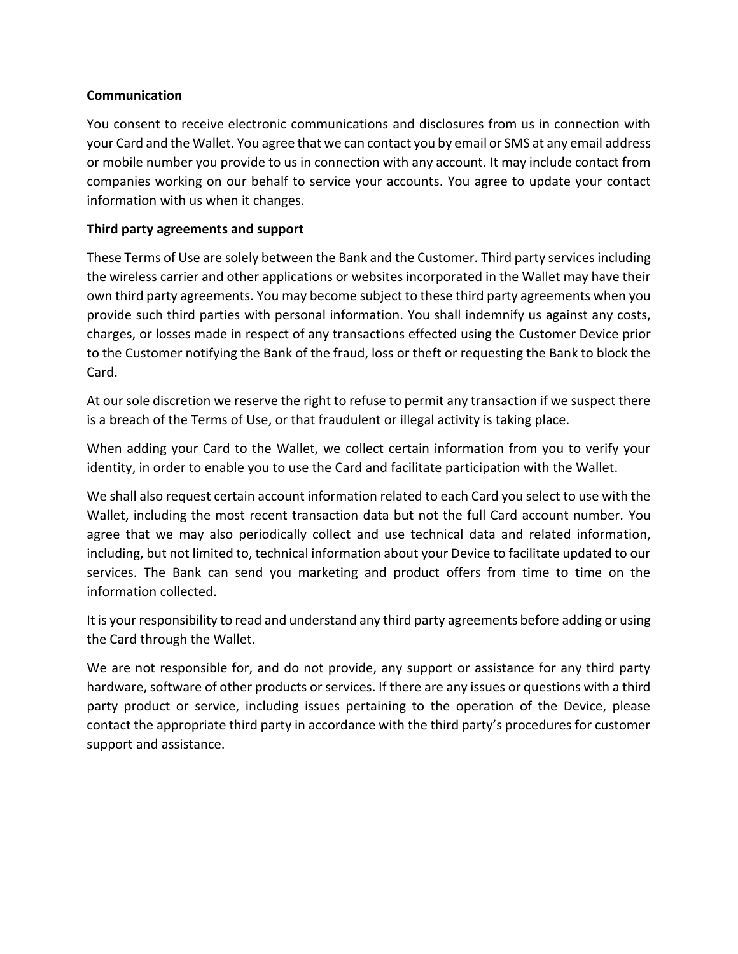### **Communication**

You consent to receive electronic communications and disclosures from us in connection with your Card and the Wallet. You agree that we can contact you by email or SMS at any email address or mobile number you provide to us in connection with any account. It may include contact from companies working on our behalf to service your accounts. You agree to update your contact information with us when it changes.

## **Third party agreements and support**

These Terms of Use are solely between the Bank and the Customer. Third party services including the wireless carrier and other applications or websites incorporated in the Wallet may have their own third party agreements. You may become subject to these third party agreements when you provide such third parties with personal information. You shall indemnify us against any costs, charges, or losses made in respect of any transactions effected using the Customer Device prior to the Customer notifying the Bank of the fraud, loss or theft or requesting the Bank to block the Card.

At our sole discretion we reserve the right to refuse to permit any transaction if we suspect there is a breach of the Terms of Use, or that fraudulent or illegal activity is taking place.

When adding your Card to the Wallet, we collect certain information from you to verify your identity, in order to enable you to use the Card and facilitate participation with the Wallet.

We shall also request certain account information related to each Card you select to use with the Wallet, including the most recent transaction data but not the full Card account number. You agree that we may also periodically collect and use technical data and related information, including, but not limited to, technical information about your Device to facilitate updated to our services. The Bank can send you marketing and product offers from time to time on the information collected.

It is your responsibility to read and understand any third party agreements before adding or using the Card through the Wallet.

We are not responsible for, and do not provide, any support or assistance for any third party hardware, software of other products or services. If there are any issues or questions with a third party product or service, including issues pertaining to the operation of the Device, please contact the appropriate third party in accordance with the third party's procedures for customer support and assistance.